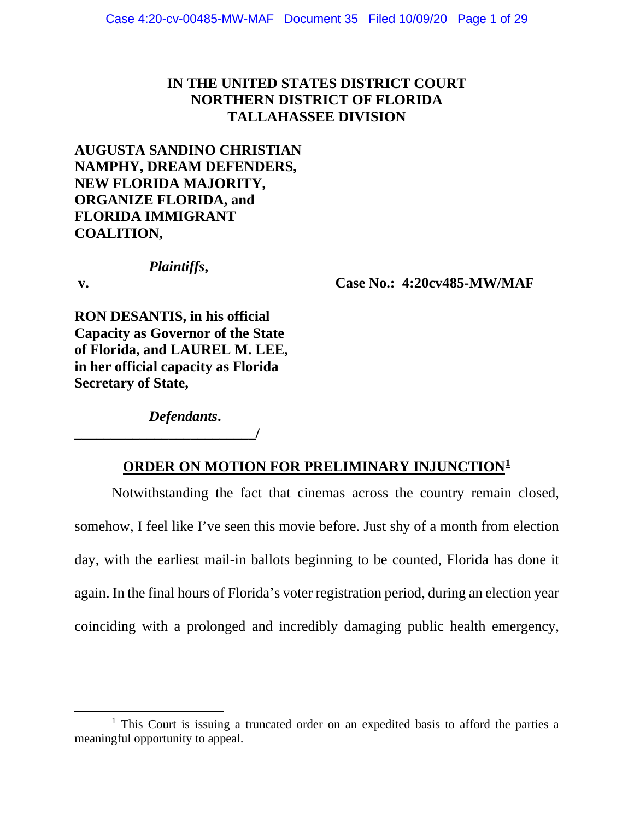# **IN THE UNITED STATES DISTRICT COURT NORTHERN DISTRICT OF FLORIDA TALLAHASSEE DIVISION**

# **AUGUSTA SANDINO CHRISTIAN NAMPHY, DREAM DEFENDERS, NEW FLORIDA MAJORITY, ORGANIZE FLORIDA, and FLORIDA IMMIGRANT COALITION,**

## *Plaintiffs***,**

**v. Case No.: 4:20cv485-MW/MAF**

**RON DESANTIS, in his official Capacity as Governor of the State of Florida, and LAUREL M. LEE, in her official capacity as Florida Secretary of State,**

*Defendants***.**

**\_\_\_\_\_\_\_\_\_\_\_\_\_\_\_\_\_\_\_\_\_\_\_\_\_/**

# **ORDER ON MOTION FOR PRELIMINARY INJUNCTION[1](#page-0-0)**

Notwithstanding the fact that cinemas across the country remain closed, somehow, I feel like I've seen this movie before. Just shy of a month from election day, with the earliest mail-in ballots beginning to be counted, Florida has done it again. In the final hours of Florida's voter registration period, during an election year coinciding with a prolonged and incredibly damaging public health emergency,

<span id="page-0-0"></span><sup>&</sup>lt;sup>1</sup> This Court is issuing a truncated order on an expedited basis to afford the parties a meaningful opportunity to appeal.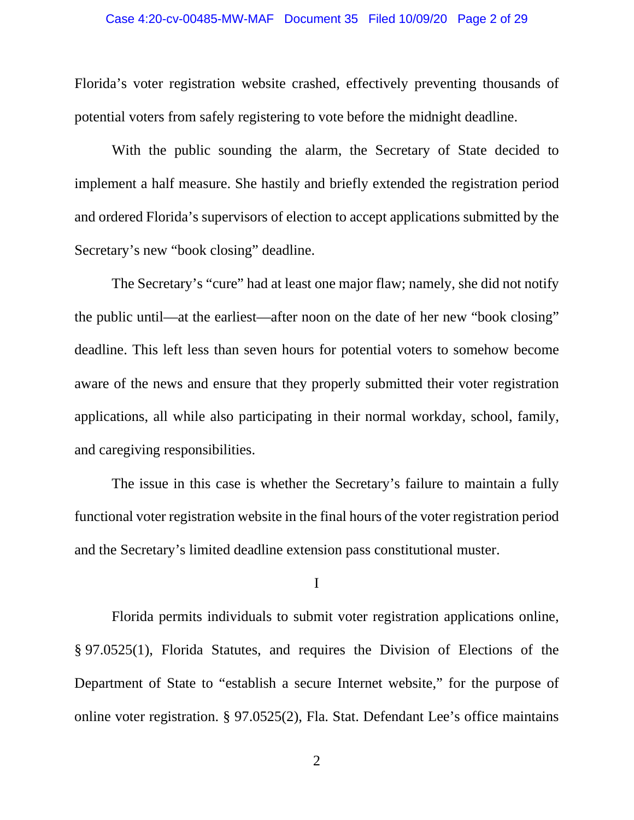Florida's voter registration website crashed, effectively preventing thousands of potential voters from safely registering to vote before the midnight deadline.

With the public sounding the alarm, the Secretary of State decided to implement a half measure. She hastily and briefly extended the registration period and ordered Florida's supervisors of election to accept applications submitted by the Secretary's new "book closing" deadline.

The Secretary's "cure" had at least one major flaw; namely, she did not notify the public until—at the earliest—after noon on the date of her new "book closing" deadline. This left less than seven hours for potential voters to somehow become aware of the news and ensure that they properly submitted their voter registration applications, all while also participating in their normal workday, school, family, and caregiving responsibilities.

The issue in this case is whether the Secretary's failure to maintain a fully functional voter registration website in the final hours of the voter registration period and the Secretary's limited deadline extension pass constitutional muster.

I

Florida permits individuals to submit voter registration applications online, § 97.0525(1), Florida Statutes, and requires the Division of Elections of the Department of State to "establish a secure Internet website," for the purpose of online voter registration. § 97.0525(2), Fla. Stat. Defendant Lee's office maintains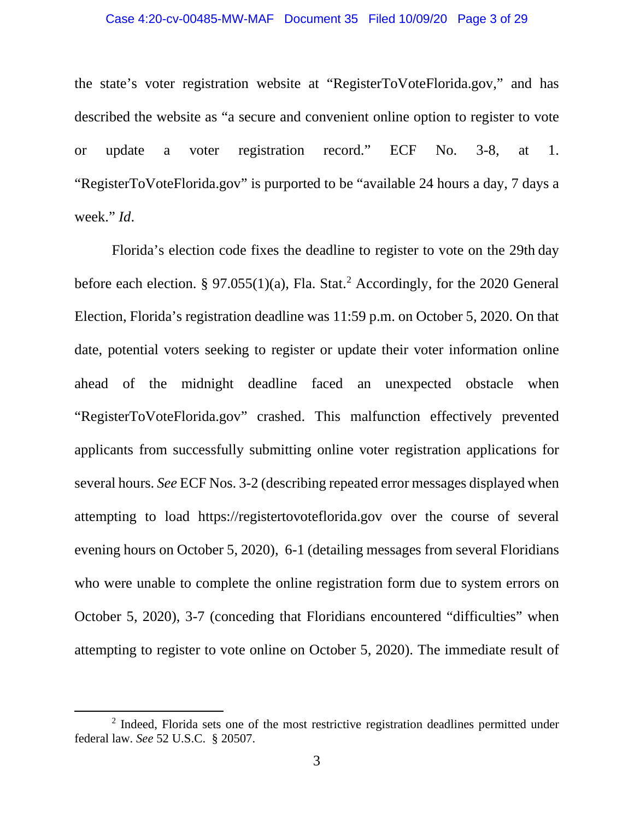### Case 4:20-cv-00485-MW-MAF Document 35 Filed 10/09/20 Page 3 of 29

the state's voter registration website at "RegisterToVoteFlorida.gov," and has described the website as "a secure and convenient online option to register to vote or update a voter registration record." ECF No. 3-8, at 1. "RegisterToVoteFlorida.gov" is purported to be "available 24 hours a day, 7 days a week." *Id*.

Florida's election code fixes the deadline to register to vote on the 29th day before each election. § 97.055(1)(a), Fla. Stat.<sup>[2](#page-2-0)</sup> Accordingly, for the 2020 General Election, Florida's registration deadline was 11:59 p.m. on October 5, 2020. On that date, potential voters seeking to register or update their voter information online ahead of the midnight deadline faced an unexpected obstacle when "RegisterToVoteFlorida.gov" crashed. This malfunction effectively prevented applicants from successfully submitting online voter registration applications for several hours. *See* ECF Nos. 3-2 (describing repeated error messages displayed when attempting to load https://registertovoteflorida.gov over the course of several evening hours on October 5, 2020), 6-1 (detailing messages from several Floridians who were unable to complete the online registration form due to system errors on October 5, 2020), 3-7 (conceding that Floridians encountered "difficulties" when attempting to register to vote online on October 5, 2020). The immediate result of

<span id="page-2-0"></span><sup>&</sup>lt;sup>2</sup> Indeed, Florida sets one of the most restrictive registration deadlines permitted under federal law. *See* 52 U.S.C. § 20507.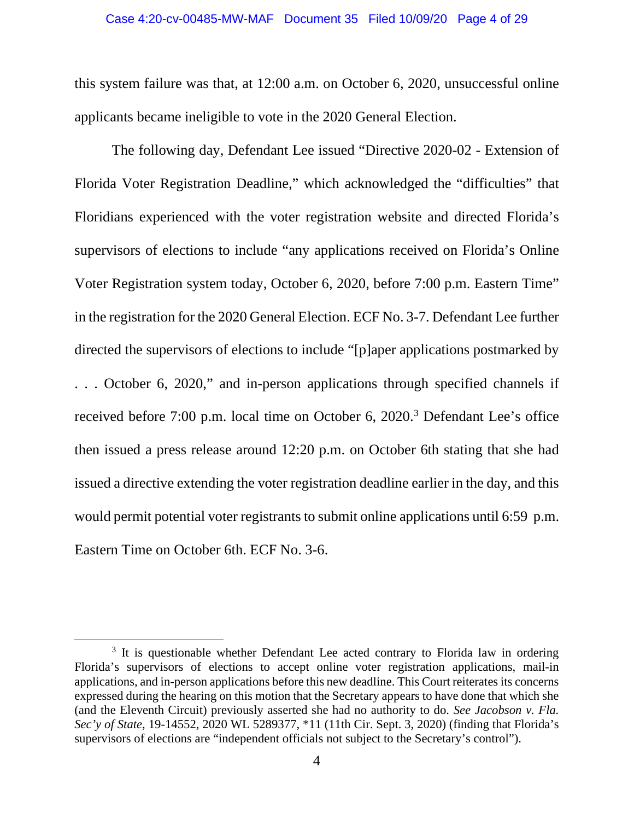this system failure was that, at 12:00 a.m. on October 6, 2020, unsuccessful online applicants became ineligible to vote in the 2020 General Election.

The following day, Defendant Lee issued "Directive 2020-02 - Extension of Florida Voter Registration Deadline," which acknowledged the "difficulties" that Floridians experienced with the voter registration website and directed Florida's supervisors of elections to include "any applications received on Florida's Online Voter Registration system today, October 6, 2020, before 7:00 p.m. Eastern Time" in the registration for the 2020 General Election. ECF No. 3-7. Defendant Lee further directed the supervisors of elections to include "[p]aper applications postmarked by . . . October 6, 2020," and in-person applications through specified channels if received before 7:00 p.m. local time on October 6, 2020.<sup>[3](#page-3-0)</sup> Defendant Lee's office then issued a press release around 12:20 p.m. on October 6th stating that she had issued a directive extending the voter registration deadline earlier in the day, and this would permit potential voter registrants to submit online applications until 6:59 p.m. Eastern Time on October 6th. ECF No. 3-6.

<span id="page-3-0"></span><sup>&</sup>lt;sup>3</sup> It is questionable whether Defendant Lee acted contrary to Florida law in ordering Florida's supervisors of elections to accept online voter registration applications, mail-in applications, and in-person applications before this new deadline. This Court reiterates its concerns expressed during the hearing on this motion that the Secretary appears to have done that which she (and the Eleventh Circuit) previously asserted she had no authority to do. *See Jacobson v. Fla. Sec'y of State*, 19-14552, 2020 WL 5289377, \*11 (11th Cir. Sept. 3, 2020) (finding that Florida's supervisors of elections are "independent officials not subject to the Secretary's control").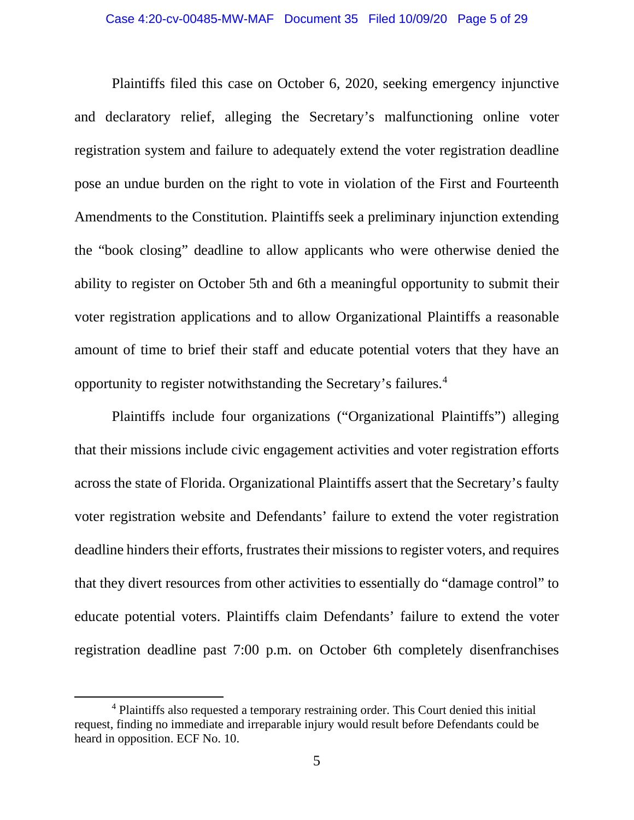Plaintiffs filed this case on October 6, 2020, seeking emergency injunctive and declaratory relief, alleging the Secretary's malfunctioning online voter registration system and failure to adequately extend the voter registration deadline pose an undue burden on the right to vote in violation of the First and Fourteenth Amendments to the Constitution. Plaintiffs seek a preliminary injunction extending the "book closing" deadline to allow applicants who were otherwise denied the ability to register on October 5th and 6th a meaningful opportunity to submit their voter registration applications and to allow Organizational Plaintiffs a reasonable amount of time to brief their staff and educate potential voters that they have an opportunity to register notwithstanding the Secretary's failures. [4](#page-4-0)

Plaintiffs include four organizations ("Organizational Plaintiffs") alleging that their missions include civic engagement activities and voter registration efforts across the state of Florida. Organizational Plaintiffs assert that the Secretary's faulty voter registration website and Defendants' failure to extend the voter registration deadline hinders their efforts, frustrates their missions to register voters, and requires that they divert resources from other activities to essentially do "damage control" to educate potential voters. Plaintiffs claim Defendants' failure to extend the voter registration deadline past 7:00 p.m. on October 6th completely disenfranchises

<span id="page-4-0"></span><sup>&</sup>lt;sup>4</sup> Plaintiffs also requested a temporary restraining order. This Court denied this initial request, finding no immediate and irreparable injury would result before Defendants could be heard in opposition. ECF No. 10.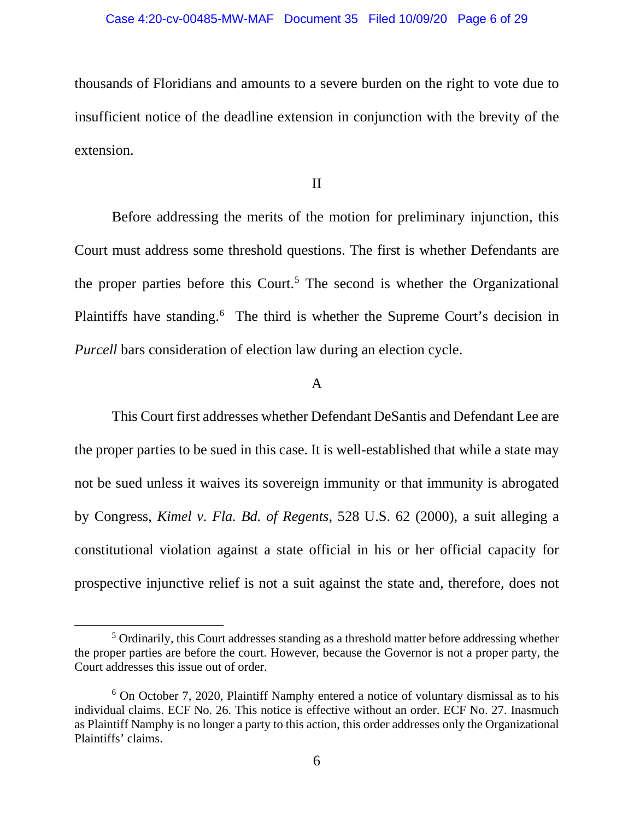thousands of Floridians and amounts to a severe burden on the right to vote due to insufficient notice of the deadline extension in conjunction with the brevity of the extension.

II

Before addressing the merits of the motion for preliminary injunction, this Court must address some threshold questions. The first is whether Defendants are the proper parties before this Court.<sup>[5](#page-5-0)</sup> The second is whether the Organizational Plaintiffs have standing.<sup>[6](#page-5-1)</sup> The third is whether the Supreme Court's decision in *Purcell* bars consideration of election law during an election cycle.

# A

This Court first addresses whether Defendant DeSantis and Defendant Lee are the proper parties to be sued in this case. It is well-established that while a state may not be sued unless it waives its sovereign immunity or that immunity is abrogated by Congress, *Kimel v. Fla. Bd. of Regents*, 528 U.S. 62 (2000), a suit alleging a constitutional violation against a state official in his or her official capacity for prospective injunctive relief is not a suit against the state and, therefore, does not

<span id="page-5-0"></span><sup>5</sup> Ordinarily, this Court addresses standing as a threshold matter before addressing whether the proper parties are before the court. However, because the Governor is not a proper party, the Court addresses this issue out of order.

<span id="page-5-1"></span> $6$  On October 7, 2020, Plaintiff Namphy entered a notice of voluntary dismissal as to his individual claims. ECF No. 26. This notice is effective without an order. ECF No. 27. Inasmuch as Plaintiff Namphy is no longer a party to this action, this order addresses only the Organizational Plaintiffs' claims.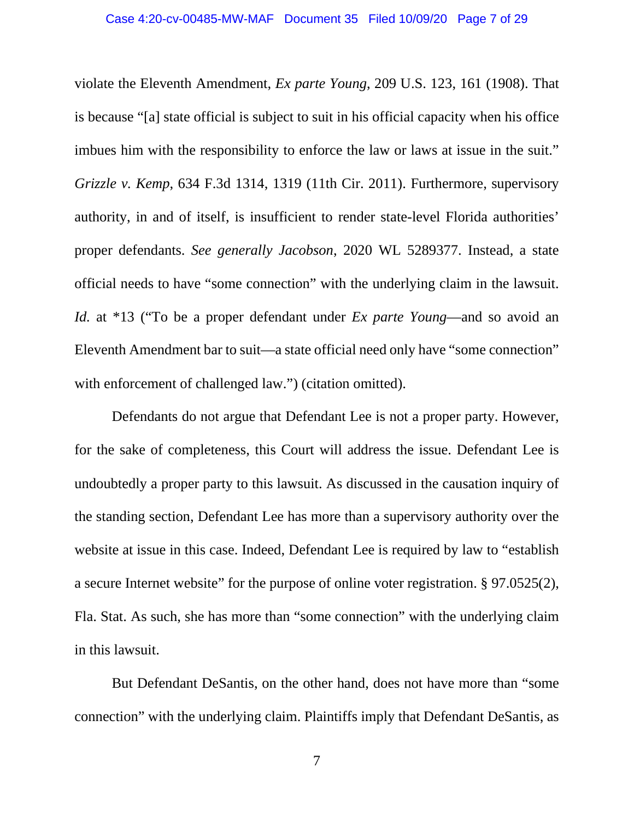violate the Eleventh Amendment, *Ex parte Young*, 209 U.S. 123, 161 (1908). That is because "[a] state official is subject to suit in his official capacity when his office imbues him with the responsibility to enforce the law or laws at issue in the suit." *Grizzle v. Kemp*, 634 F.3d 1314, 1319 (11th Cir. 2011). Furthermore, supervisory authority, in and of itself, is insufficient to render state-level Florida authorities' proper defendants. *See generally Jacobson*, 2020 WL 5289377. Instead, a state official needs to have "some connection" with the underlying claim in the lawsuit. *Id.* at \*13 ("To be a proper defendant under *Ex parte Young*—and so avoid an Eleventh Amendment bar to suit—a state official need only have "some connection" with enforcement of challenged law.") (citation omitted).

Defendants do not argue that Defendant Lee is not a proper party. However, for the sake of completeness, this Court will address the issue. Defendant Lee is undoubtedly a proper party to this lawsuit. As discussed in the causation inquiry of the standing section, Defendant Lee has more than a supervisory authority over the website at issue in this case. Indeed, Defendant Lee is required by law to "establish a secure Internet website" for the purpose of online voter registration. § 97.0525(2), Fla. Stat. As such, she has more than "some connection" with the underlying claim in this lawsuit.

But Defendant DeSantis, on the other hand, does not have more than "some connection" with the underlying claim. Plaintiffs imply that Defendant DeSantis, as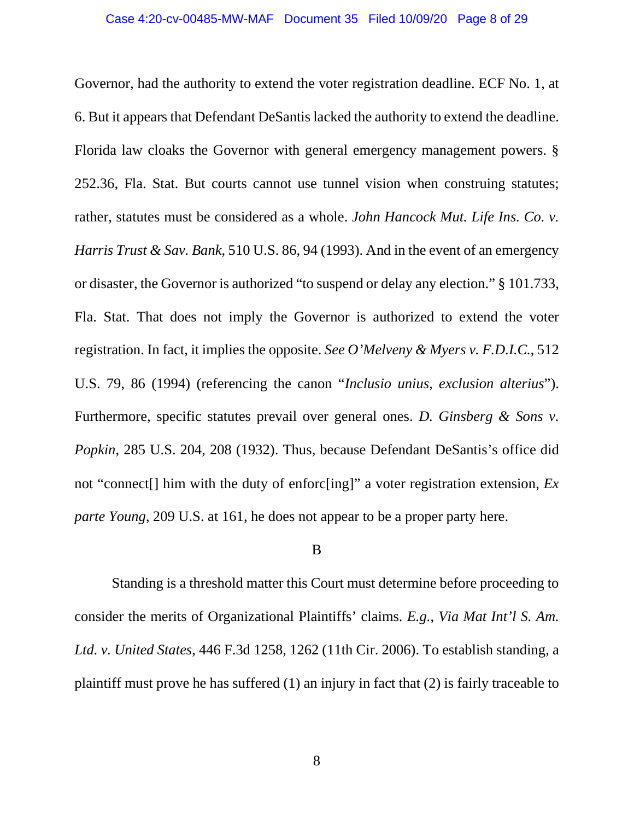Governor, had the authority to extend the voter registration deadline. ECF No. 1, at 6. But it appears that Defendant DeSantislacked the authority to extend the deadline. Florida law cloaks the Governor with general emergency management powers. § 252.36, Fla. Stat. But courts cannot use tunnel vision when construing statutes; rather, statutes must be considered as a whole. *John Hancock Mut. Life Ins. Co. v. Harris Trust & Sav. Bank*, 510 U.S. 86, 94 (1993). And in the event of an emergency or disaster, the Governor is authorized "to suspend or delay any election." § 101.733, Fla. Stat. That does not imply the Governor is authorized to extend the voter registration. In fact, it implies the opposite. *See O'Melveny & Myers v. F.D.I.C.*, 512 U.S. 79, 86 (1994) (referencing the canon "*Inclusio unius, exclusion alterius*"). Furthermore, specific statutes prevail over general ones. *D. Ginsberg & Sons v. Popkin*, 285 U.S. 204, 208 (1932). Thus, because Defendant DeSantis's office did not "connect[] him with the duty of enforc[ing]" a voter registration extension, *Ex parte Young*, 209 U.S. at 161, he does not appear to be a proper party here.

## B

Standing is a threshold matter this Court must determine before proceeding to consider the merits of Organizational Plaintiffs' claims. *E.g.*, *Via Mat Int'l S. Am. Ltd. v. United States*, 446 F.3d 1258, 1262 (11th Cir. 2006). To establish standing, a plaintiff must prove he has suffered (1) an injury in fact that (2) is fairly traceable to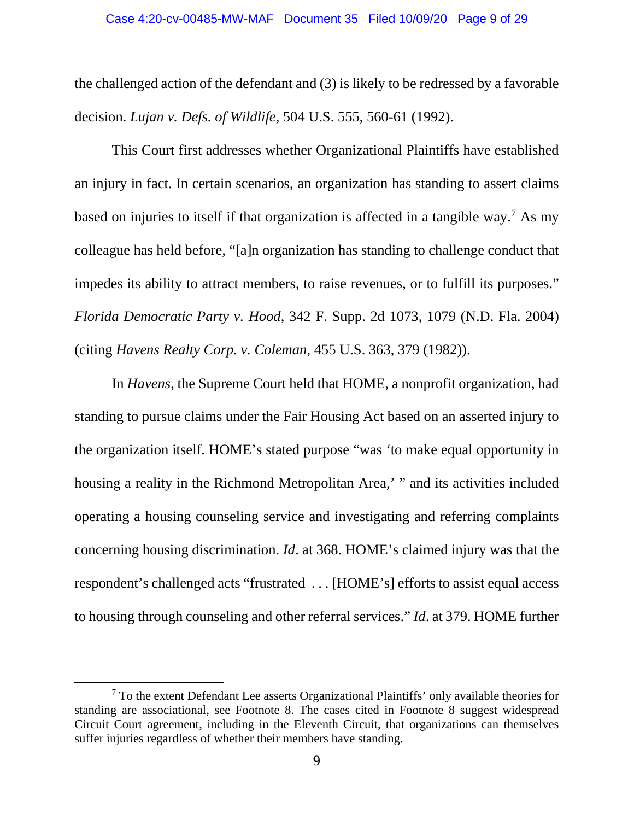the challenged action of the defendant and (3) is likely to be redressed by a favorable decision. *Lujan v. Defs. of Wildlife*, 504 U.S. 555, 560-61 (1992).

This Court first addresses whether Organizational Plaintiffs have established an injury in fact. In certain scenarios, an organization has standing to assert claims based on injuries to itself if that organization is affected in a tangible way.[7](#page-8-0) As my colleague has held before, "[a]n organization has standing to challenge conduct that impedes its ability to attract members, to raise revenues, or to fulfill its purposes." *Florida Democratic Party v. Hood*, 342 F. Supp. 2d 1073, 1079 (N.D. Fla. 2004) (citing *Havens Realty Corp. v. Coleman*, 455 U.S. 363, 379 (1982)).

In *Havens*, the Supreme Court held that HOME, a nonprofit organization, had standing to pursue claims under the Fair Housing Act based on an asserted injury to the organization itself. HOME's stated purpose "was 'to make equal opportunity in housing a reality in the Richmond Metropolitan Area,' " and its activities included operating a housing counseling service and investigating and referring complaints concerning housing discrimination. *Id*. at 368. HOME's claimed injury was that the respondent's challenged acts "frustrated . . . [HOME's] efforts to assist equal access to housing through counseling and other referral services." *Id*. at 379. HOME further

<span id="page-8-0"></span> $<sup>7</sup>$  To the extent Defendant Lee asserts Organizational Plaintiffs' only available theories for</sup> standing are associational, see Footnote 8. The cases cited in Footnote 8 suggest widespread Circuit Court agreement, including in the Eleventh Circuit, that organizations can themselves suffer injuries regardless of whether their members have standing.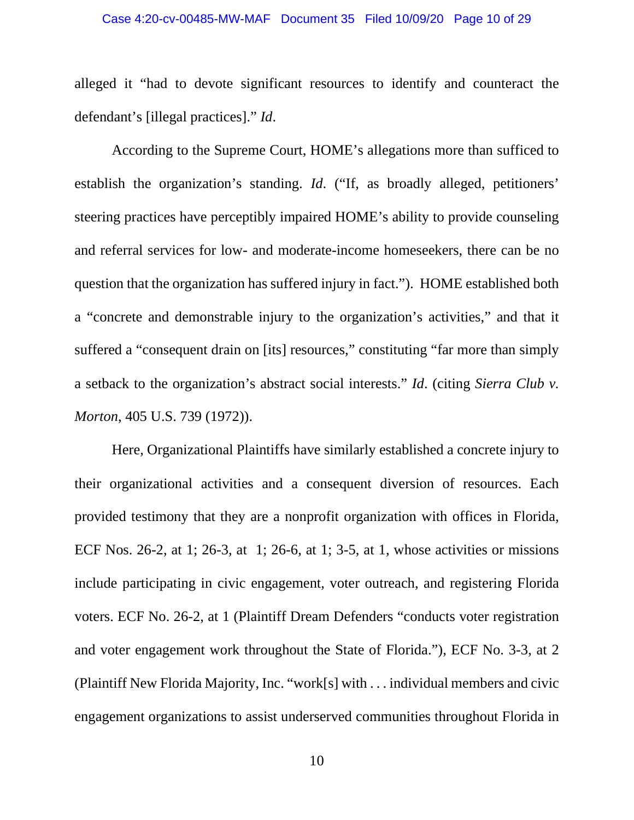### Case 4:20-cv-00485-MW-MAF Document 35 Filed 10/09/20 Page 10 of 29

alleged it "had to devote significant resources to identify and counteract the defendant's [illegal practices]." *Id*.

According to the Supreme Court, HOME's allegations more than sufficed to establish the organization's standing. *Id*. ("If, as broadly alleged, petitioners' steering practices have perceptibly impaired HOME's ability to provide counseling and referral services for low- and moderate-income homeseekers, there can be no question that the organization has suffered injury in fact."). HOME established both a "concrete and demonstrable injury to the organization's activities," and that it suffered a "consequent drain on [its] resources," constituting "far more than simply a setback to the organization's abstract social interests." *Id*. (citing *Sierra Club v. Morton*, 405 U.S. 739 (1972)).

Here, Organizational Plaintiffs have similarly established a concrete injury to their organizational activities and a consequent diversion of resources. Each provided testimony that they are a nonprofit organization with offices in Florida, ECF Nos. 26-2, at 1; 26-3, at 1; 26-6, at 1; 3-5, at 1, whose activities or missions include participating in civic engagement, voter outreach, and registering Florida voters. ECF No. 26-2, at 1 (Plaintiff Dream Defenders "conducts voter registration and voter engagement work throughout the State of Florida."), ECF No. 3-3, at 2 (Plaintiff New Florida Majority, Inc. "work[s] with . . . individual members and civic engagement organizations to assist underserved communities throughout Florida in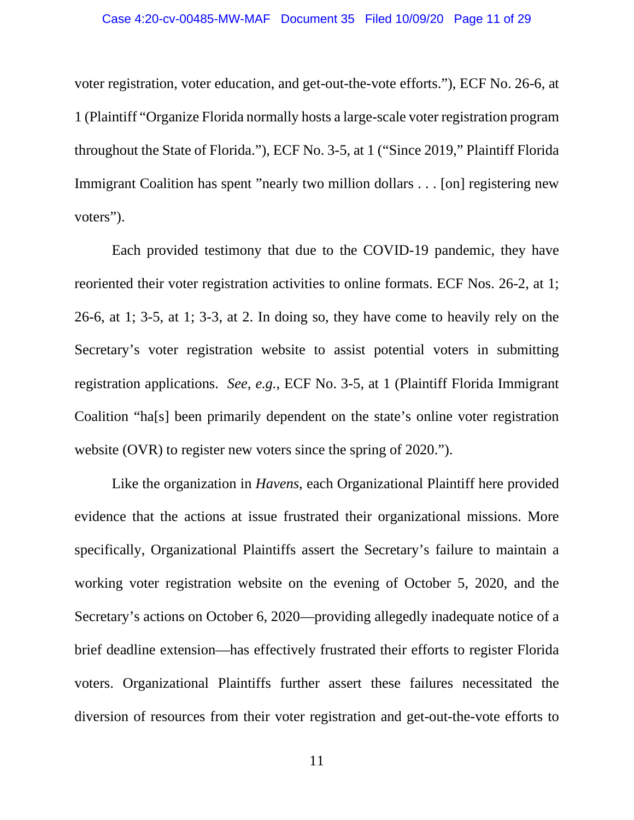voter registration, voter education, and get-out-the-vote efforts."), ECF No. 26-6, at 1 (Plaintiff "Organize Florida normally hosts a large-scale voter registration program throughout the State of Florida."), ECF No. 3-5, at 1 ("Since 2019," Plaintiff Florida Immigrant Coalition has spent "nearly two million dollars . . . [on] registering new voters").

Each provided testimony that due to the COVID-19 pandemic, they have reoriented their voter registration activities to online formats. ECF Nos. 26-2, at 1; 26-6, at 1; 3-5, at 1; 3-3, at 2. In doing so, they have come to heavily rely on the Secretary's voter registration website to assist potential voters in submitting registration applications. *See, e.g.*, ECF No. 3-5, at 1 (Plaintiff Florida Immigrant Coalition "ha[s] been primarily dependent on the state's online voter registration website (OVR) to register new voters since the spring of 2020.").

Like the organization in *Havens*, each Organizational Plaintiff here provided evidence that the actions at issue frustrated their organizational missions. More specifically, Organizational Plaintiffs assert the Secretary's failure to maintain a working voter registration website on the evening of October 5, 2020, and the Secretary's actions on October 6, 2020—providing allegedly inadequate notice of a brief deadline extension—has effectively frustrated their efforts to register Florida voters. Organizational Plaintiffs further assert these failures necessitated the diversion of resources from their voter registration and get-out-the-vote efforts to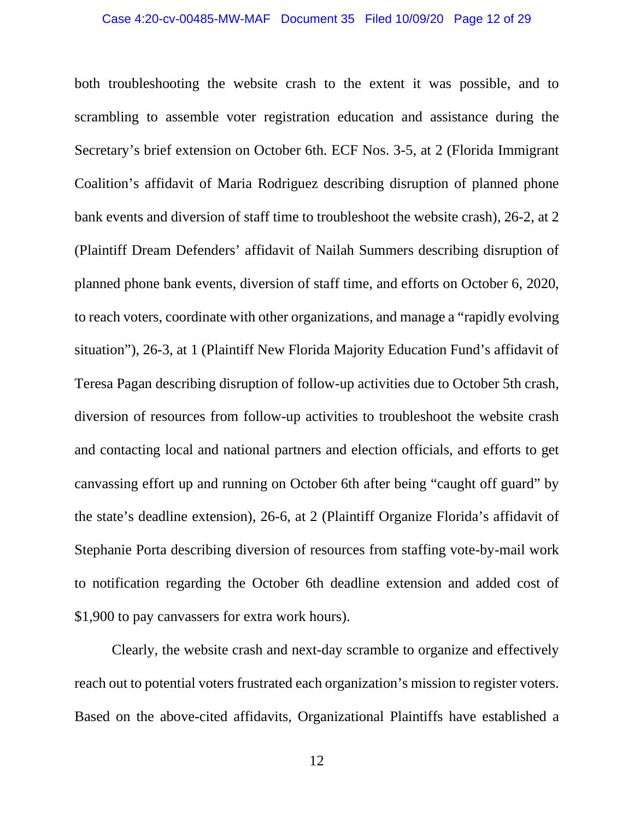both troubleshooting the website crash to the extent it was possible, and to scrambling to assemble voter registration education and assistance during the Secretary's brief extension on October 6th. ECF Nos. 3-5, at 2 (Florida Immigrant Coalition's affidavit of Maria Rodriguez describing disruption of planned phone bank events and diversion of staff time to troubleshoot the website crash), 26-2, at 2 (Plaintiff Dream Defenders' affidavit of Nailah Summers describing disruption of planned phone bank events, diversion of staff time, and efforts on October 6, 2020, to reach voters, coordinate with other organizations, and manage a "rapidly evolving situation"), 26-3, at 1 (Plaintiff New Florida Majority Education Fund's affidavit of Teresa Pagan describing disruption of follow-up activities due to October 5th crash, diversion of resources from follow-up activities to troubleshoot the website crash and contacting local and national partners and election officials, and efforts to get canvassing effort up and running on October 6th after being "caught off guard" by the state's deadline extension), 26-6, at 2 (Plaintiff Organize Florida's affidavit of Stephanie Porta describing diversion of resources from staffing vote-by-mail work to notification regarding the October 6th deadline extension and added cost of \$1,900 to pay canvassers for extra work hours).

Clearly, the website crash and next-day scramble to organize and effectively reach out to potential voters frustrated each organization's mission to register voters. Based on the above-cited affidavits, Organizational Plaintiffs have established a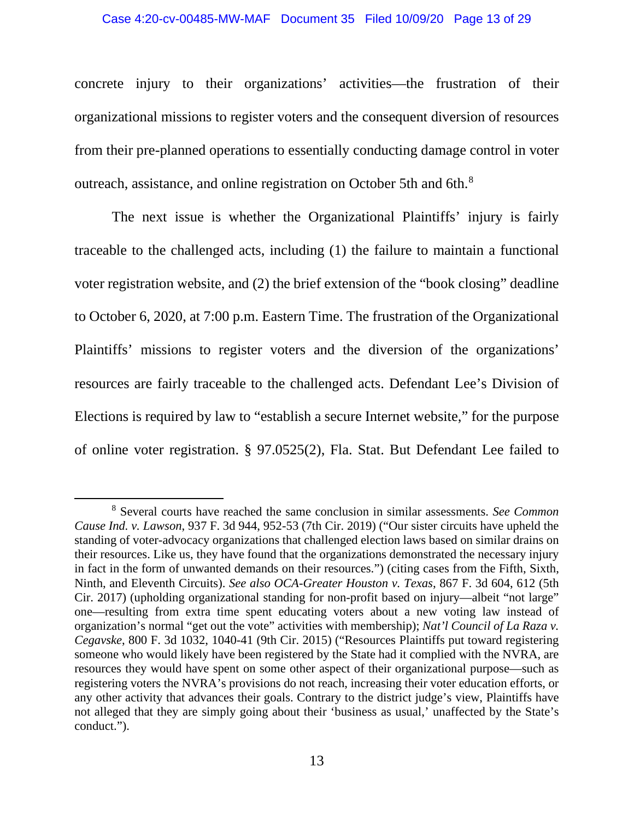#### Case 4:20-cv-00485-MW-MAF Document 35 Filed 10/09/20 Page 13 of 29

concrete injury to their organizations' activities—the frustration of their organizational missions to register voters and the consequent diversion of resources from their pre-planned operations to essentially conducting damage control in voter outreach, assistance, and online registration on October 5th and 6th.[8](#page-12-0)

The next issue is whether the Organizational Plaintiffs' injury is fairly traceable to the challenged acts, including (1) the failure to maintain a functional voter registration website, and (2) the brief extension of the "book closing" deadline to October 6, 2020, at 7:00 p.m. Eastern Time. The frustration of the Organizational Plaintiffs' missions to register voters and the diversion of the organizations' resources are fairly traceable to the challenged acts. Defendant Lee's Division of Elections is required by law to "establish a secure Internet website," for the purpose of online voter registration. § 97.0525(2), Fla. Stat. But Defendant Lee failed to

<span id="page-12-0"></span><sup>8</sup> Several courts have reached the same conclusion in similar assessments. *See Common Cause Ind. v. Lawson*, 937 F. 3d 944, 952-53 (7th Cir. 2019) ("Our sister circuits have upheld the standing of voter-advocacy organizations that challenged election laws based on similar drains on their resources. Like us, they have found that the organizations demonstrated the necessary injury in fact in the form of unwanted demands on their resources.") (citing cases from the Fifth, Sixth, Ninth, and Eleventh Circuits). *See also OCA-Greater Houston v. Texas*, 867 F. 3d 604, 612 (5th Cir. 2017) (upholding organizational standing for non-profit based on injury—albeit "not large" one—resulting from extra time spent educating voters about a new voting law instead of organization's normal "get out the vote" activities with membership); *Nat'l Council of La Raza v. Cegavske*, 800 F. 3d 1032, 1040-41 (9th Cir. 2015) ("Resources Plaintiffs put toward registering someone who would likely have been registered by the State had it complied with the NVRA, are resources they would have spent on some other aspect of their organizational purpose—such as registering voters the NVRA's provisions do not reach, increasing their voter education efforts, or any other activity that advances their goals. Contrary to the district judge's view, Plaintiffs have not alleged that they are simply going about their 'business as usual,' unaffected by the State's conduct.").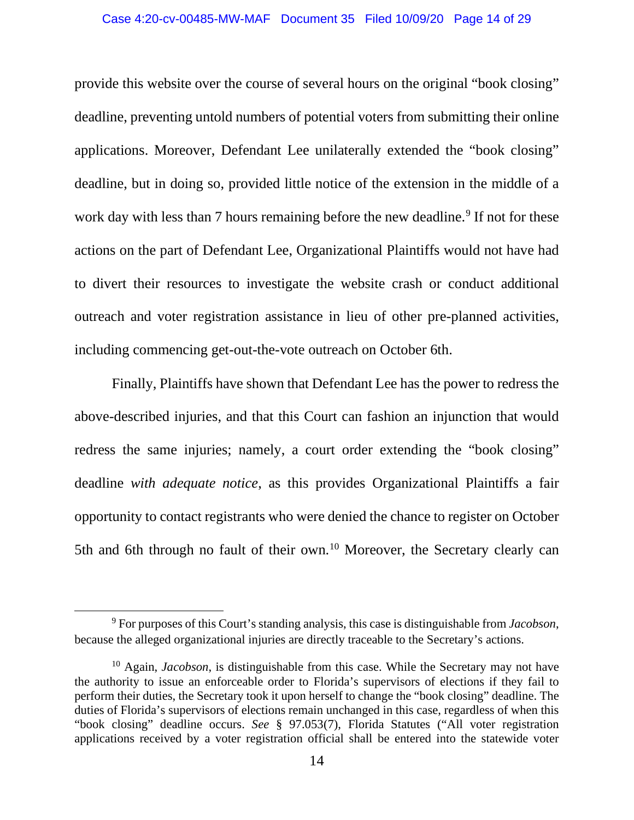provide this website over the course of several hours on the original "book closing" deadline, preventing untold numbers of potential voters from submitting their online applications. Moreover, Defendant Lee unilaterally extended the "book closing" deadline, but in doing so, provided little notice of the extension in the middle of a work day with less than 7 hours remaining before the new deadline.<sup>[9](#page-13-0)</sup> If not for these actions on the part of Defendant Lee, Organizational Plaintiffs would not have had to divert their resources to investigate the website crash or conduct additional outreach and voter registration assistance in lieu of other pre-planned activities, including commencing get-out-the-vote outreach on October 6th.

Finally, Plaintiffs have shown that Defendant Lee has the power to redress the above-described injuries, and that this Court can fashion an injunction that would redress the same injuries; namely, a court order extending the "book closing" deadline *with adequate notice*, as this provides Organizational Plaintiffs a fair opportunity to contact registrants who were denied the chance to register on October 5th and 6th through no fault of their own.<sup>10</sup> Moreover, the Secretary clearly can

<span id="page-13-0"></span><sup>9</sup> For purposes of this Court's standing analysis, this case is distinguishable from *Jacobson*, because the alleged organizational injuries are directly traceable to the Secretary's actions.

<span id="page-13-1"></span><sup>10</sup> Again, *Jacobson*, is distinguishable from this case. While the Secretary may not have the authority to issue an enforceable order to Florida's supervisors of elections if they fail to perform their duties, the Secretary took it upon herself to change the "book closing" deadline. The duties of Florida's supervisors of elections remain unchanged in this case, regardless of when this "book closing" deadline occurs. *See* § 97.053(7), Florida Statutes ("All voter registration applications received by a voter registration official shall be entered into the statewide voter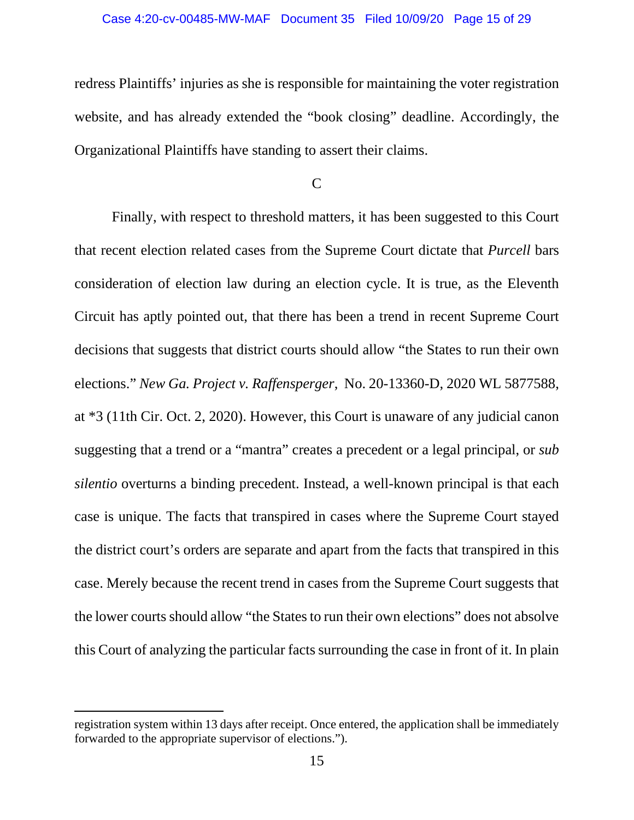redress Plaintiffs' injuries as she is responsible for maintaining the voter registration website, and has already extended the "book closing" deadline. Accordingly, the Organizational Plaintiffs have standing to assert their claims.

C

Finally, with respect to threshold matters, it has been suggested to this Court that recent election related cases from the Supreme Court dictate that *Purcell* bars consideration of election law during an election cycle. It is true, as the Eleventh Circuit has aptly pointed out, that there has been a trend in recent Supreme Court decisions that suggests that district courts should allow "the States to run their own elections." *New Ga. Project v. Raffensperger*, No. 20-13360-D, 2020 WL 5877588, at \*3 (11th Cir. Oct. 2, 2020). However, this Court is unaware of any judicial canon suggesting that a trend or a "mantra" creates a precedent or a legal principal, or *sub silentio* overturns a binding precedent. Instead, a well-known principal is that each case is unique. The facts that transpired in cases where the Supreme Court stayed the district court's orders are separate and apart from the facts that transpired in this case. Merely because the recent trend in cases from the Supreme Court suggests that the lower courts should allow "the States to run their own elections" does not absolve this Court of analyzing the particular facts surrounding the case in front of it. In plain

registration system within 13 days after receipt. Once entered, the application shall be immediately forwarded to the appropriate supervisor of elections.").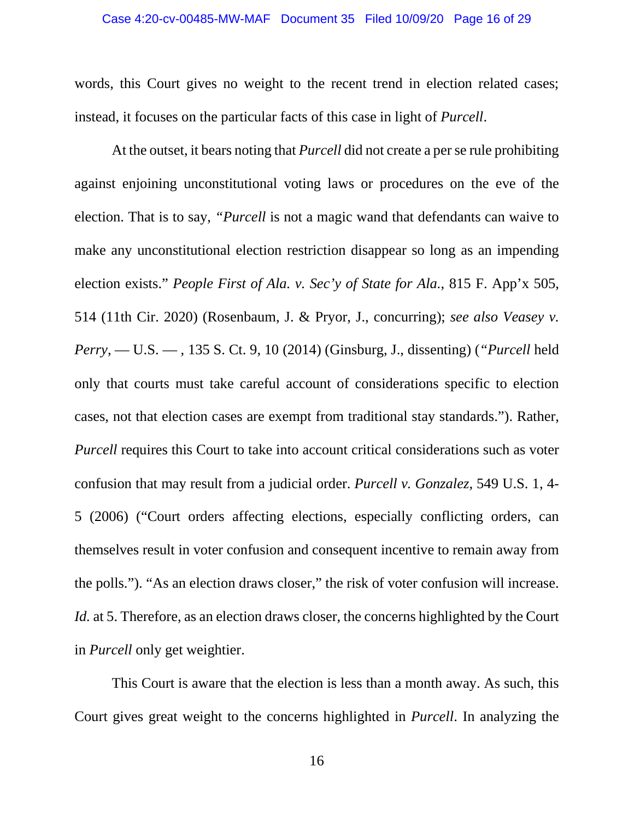words, this Court gives no weight to the recent trend in election related cases; instead, it focuses on the particular facts of this case in light of *Purcell*.

At the outset, it bears noting that *Purcell* did not create a per se rule prohibiting against enjoining unconstitutional voting laws or procedures on the eve of the election. That is to say, *"Purcell* is not a magic wand that defendants can waive to make any unconstitutional election restriction disappear so long as an impending election exists." *People First of Ala. v. Sec'y of State for Ala.*, 815 F. App'x 505, 514 (11th Cir. 2020) (Rosenbaum, J. & Pryor, J., concurring); *see also Veasey v. Perry*, — U.S. — , 135 S. Ct. 9, 10 (2014) (Ginsburg, J., dissenting) (*"Purcell* held only that courts must take careful account of considerations specific to election cases, not that election cases are exempt from traditional stay standards."). Rather, *Purcell* requires this Court to take into account critical considerations such as voter confusion that may result from a judicial order. *Purcell v. Gonzalez*, 549 U.S. 1, 4- 5 (2006) ("Court orders affecting elections, especially conflicting orders, can themselves result in voter confusion and consequent incentive to remain away from the polls."). "As an election draws closer," the risk of voter confusion will increase. *Id.* at 5. Therefore, as an election draws closer, the concerns highlighted by the Court in *Purcell* only get weightier.

This Court is aware that the election is less than a month away. As such, this Court gives great weight to the concerns highlighted in *Purcell*. In analyzing the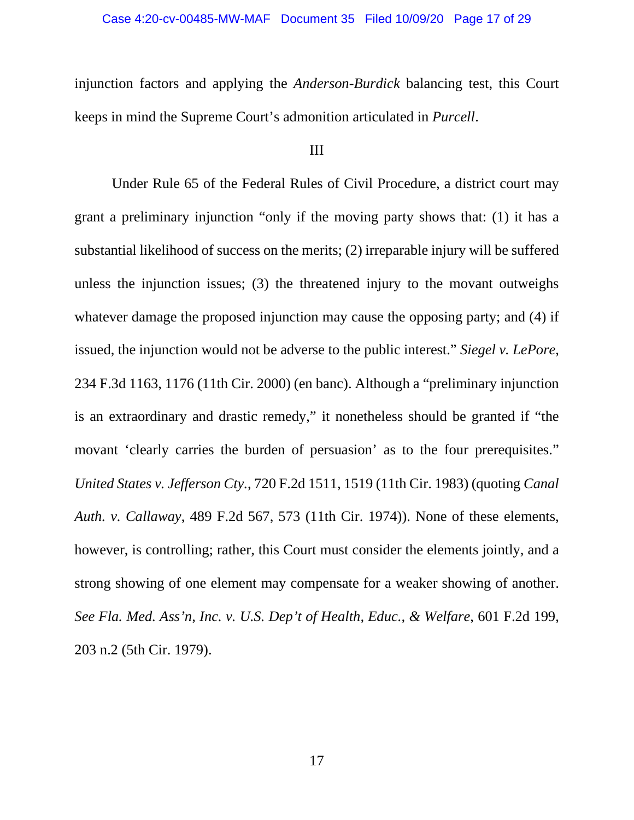injunction factors and applying the *Anderson-Burdick* balancing test, this Court keeps in mind the Supreme Court's admonition articulated in *Purcell*.

## III

Under Rule 65 of the Federal Rules of Civil Procedure, a district court may grant a preliminary injunction "only if the moving party shows that: (1) it has a substantial likelihood of success on the merits; (2) irreparable injury will be suffered unless the injunction issues; (3) the threatened injury to the movant outweighs whatever damage the proposed injunction may cause the opposing party; and (4) if issued, the injunction would not be adverse to the public interest." *Siegel v. LePore*, 234 F.3d 1163, 1176 (11th Cir. 2000) (en banc). Although a "preliminary injunction is an extraordinary and drastic remedy," it nonetheless should be granted if "the movant 'clearly carries the burden of persuasion' as to the four prerequisites." *United States v. Jefferson Cty.*, 720 F.2d 1511, 1519 (11th Cir. 1983) (quoting *Canal Auth. v. Callaway*, 489 F.2d 567, 573 (11th Cir. 1974)). None of these elements, however, is controlling; rather, this Court must consider the elements jointly, and a strong showing of one element may compensate for a weaker showing of another. *See Fla. Med. Ass'n, Inc. v. U.S. Dep't of Health, Educ., & Welfare*, 601 F.2d 199, 203 n.2 (5th Cir. 1979).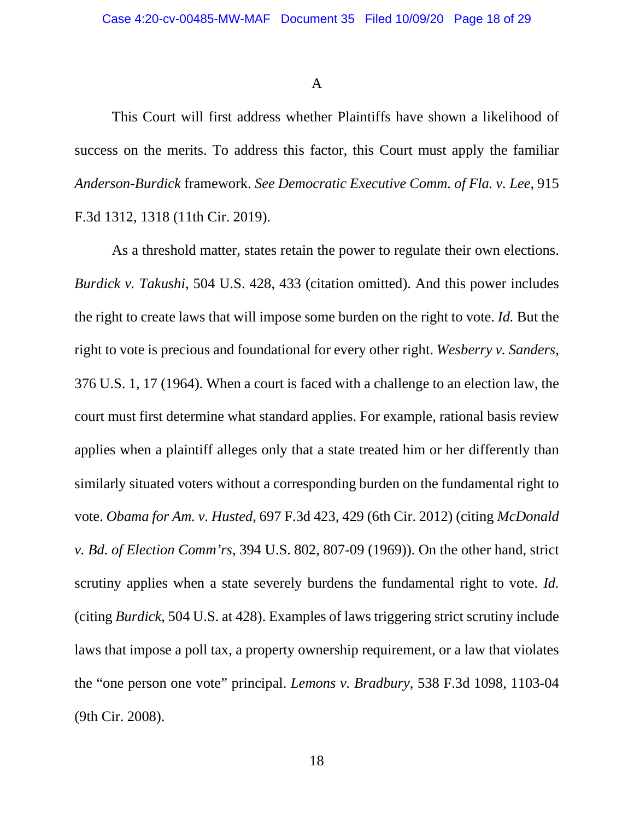A

This Court will first address whether Plaintiffs have shown a likelihood of success on the merits. To address this factor, this Court must apply the familiar *Anderson-Burdick* framework. *See Democratic Executive Comm. of Fla. v. Lee*, 915 F.3d 1312, 1318 (11th Cir. 2019).

As a threshold matter, states retain the power to regulate their own elections. *Burdick v. Takushi*, 504 U.S. 428, 433 (citation omitted). And this power includes the right to create laws that will impose some burden on the right to vote. *Id.* But the right to vote is precious and foundational for every other right. *Wesberry v. Sanders*, 376 U.S. 1, 17 (1964). When a court is faced with a challenge to an election law, the court must first determine what standard applies. For example, rational basis review applies when a plaintiff alleges only that a state treated him or her differently than similarly situated voters without a corresponding burden on the fundamental right to vote. *Obama for Am. v. Husted*, 697 F.3d 423, 429 (6th Cir. 2012) (citing *McDonald v. Bd. of Election Comm'rs*, 394 U.S. 802, 807-09 (1969)). On the other hand, strict scrutiny applies when a state severely burdens the fundamental right to vote. *Id.* (citing *Burdick*, 504 U.S. at 428). Examples of laws triggering strict scrutiny include laws that impose a poll tax, a property ownership requirement, or a law that violates the "one person one vote" principal. *Lemons v. Bradbury*, 538 F.3d 1098, 1103-04 (9th Cir. 2008).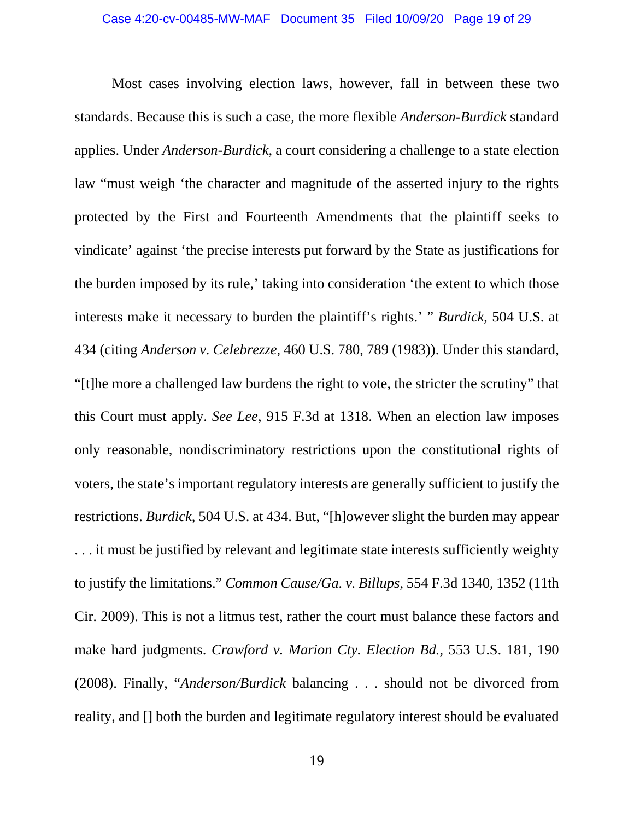Most cases involving election laws, however, fall in between these two standards. Because this is such a case, the more flexible *Anderson-Burdick* standard applies. Under *Anderson-Burdick*, a court considering a challenge to a state election law "must weigh 'the character and magnitude of the asserted injury to the rights protected by the First and Fourteenth Amendments that the plaintiff seeks to vindicate' against 'the precise interests put forward by the State as justifications for the burden imposed by its rule,' taking into consideration 'the extent to which those interests make it necessary to burden the plaintiff's rights.' " *Burdick*, 504 U.S. at 434 (citing *Anderson v. Celebrezze*, 460 U.S. 780, 789 (1983)). Under this standard, "[t]he more a challenged law burdens the right to vote, the stricter the scrutiny" that this Court must apply. *See Lee*, 915 F.3d at 1318. When an election law imposes only reasonable, nondiscriminatory restrictions upon the constitutional rights of voters, the state's important regulatory interests are generally sufficient to justify the restrictions. *Burdick*, 504 U.S. at 434. But, "[h]owever slight the burden may appear . . . it must be justified by relevant and legitimate state interests sufficiently weighty to justify the limitations." *Common Cause/Ga. v. Billups*, 554 F.3d 1340, 1352 (11th Cir. 2009). This is not a litmus test, rather the court must balance these factors and make hard judgments. *Crawford v. Marion Cty. Election Bd.*, 553 U.S. 181, 190 (2008). Finally, "*Anderson/Burdick* balancing . . . should not be divorced from reality, and [] both the burden and legitimate regulatory interest should be evaluated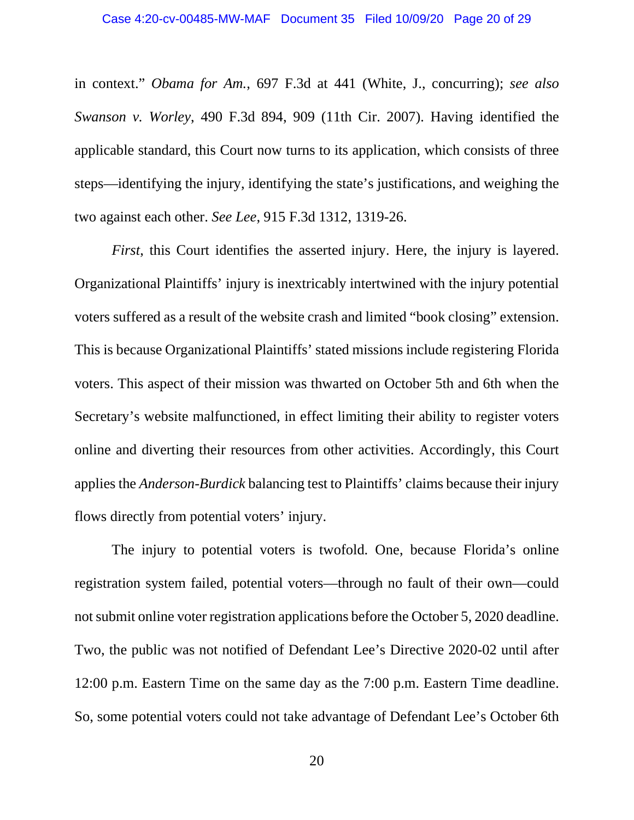in context." *Obama for Am.*, 697 F.3d at 441 (White, J., concurring); *see also Swanson v. Worley*, 490 F.3d 894, 909 (11th Cir. 2007). Having identified the applicable standard, this Court now turns to its application, which consists of three steps—identifying the injury, identifying the state's justifications, and weighing the two against each other. *See Lee*, 915 F.3d 1312, 1319-26.

*First*, this Court identifies the asserted injury. Here, the injury is layered. Organizational Plaintiffs' injury is inextricably intertwined with the injury potential voters suffered as a result of the website crash and limited "book closing" extension. This is because Organizational Plaintiffs' stated missions include registering Florida voters. This aspect of their mission was thwarted on October 5th and 6th when the Secretary's website malfunctioned, in effect limiting their ability to register voters online and diverting their resources from other activities. Accordingly, this Court applies the *Anderson-Burdick* balancing test to Plaintiffs' claims because their injury flows directly from potential voters' injury.

The injury to potential voters is twofold. One, because Florida's online registration system failed, potential voters—through no fault of their own—could not submit online voter registration applications before the October 5, 2020 deadline. Two, the public was not notified of Defendant Lee's Directive 2020-02 until after 12:00 p.m. Eastern Time on the same day as the 7:00 p.m. Eastern Time deadline. So, some potential voters could not take advantage of Defendant Lee's October 6th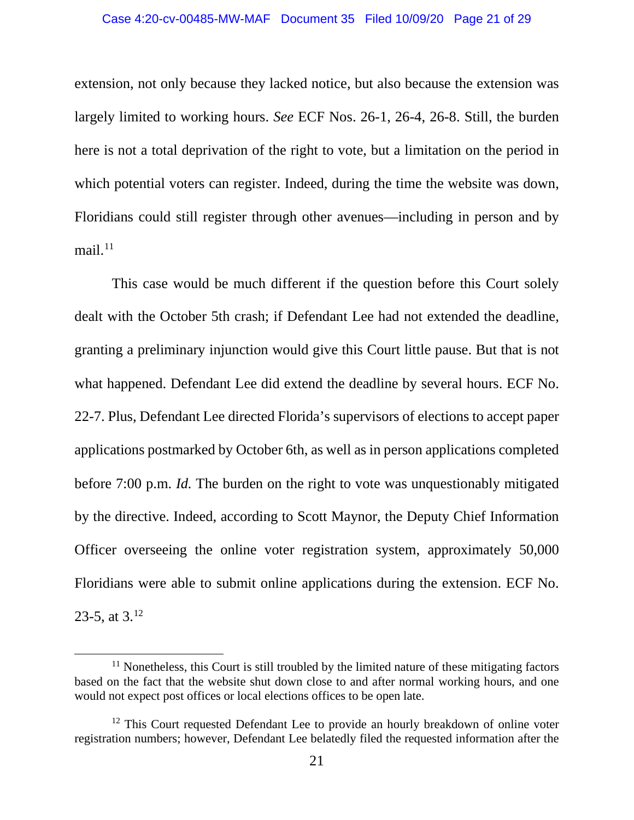#### Case 4:20-cv-00485-MW-MAF Document 35 Filed 10/09/20 Page 21 of 29

extension, not only because they lacked notice, but also because the extension was largely limited to working hours. *See* ECF Nos. 26-1, 26-4, 26-8. Still, the burden here is not a total deprivation of the right to vote, but a limitation on the period in which potential voters can register. Indeed, during the time the website was down, Floridians could still register through other avenues—including in person and by mail. $^{11}$  $^{11}$  $^{11}$ 

This case would be much different if the question before this Court solely dealt with the October 5th crash; if Defendant Lee had not extended the deadline, granting a preliminary injunction would give this Court little pause. But that is not what happened. Defendant Lee did extend the deadline by several hours. ECF No. 22-7. Plus, Defendant Lee directed Florida's supervisors of elections to accept paper applications postmarked by October 6th, as well as in person applications completed before 7:00 p.m. *Id.* The burden on the right to vote was unquestionably mitigated by the directive. Indeed, according to Scott Maynor, the Deputy Chief Information Officer overseeing the online voter registration system, approximately 50,000 Floridians were able to submit online applications during the extension. ECF No. 23-5, at  $3^{12}$  $3^{12}$  $3^{12}$ 

<span id="page-20-0"></span> $11$  Nonetheless, this Court is still troubled by the limited nature of these mitigating factors based on the fact that the website shut down close to and after normal working hours, and one would not expect post offices or local elections offices to be open late.

<span id="page-20-1"></span> $12$  This Court requested Defendant Lee to provide an hourly breakdown of online voter registration numbers; however, Defendant Lee belatedly filed the requested information after the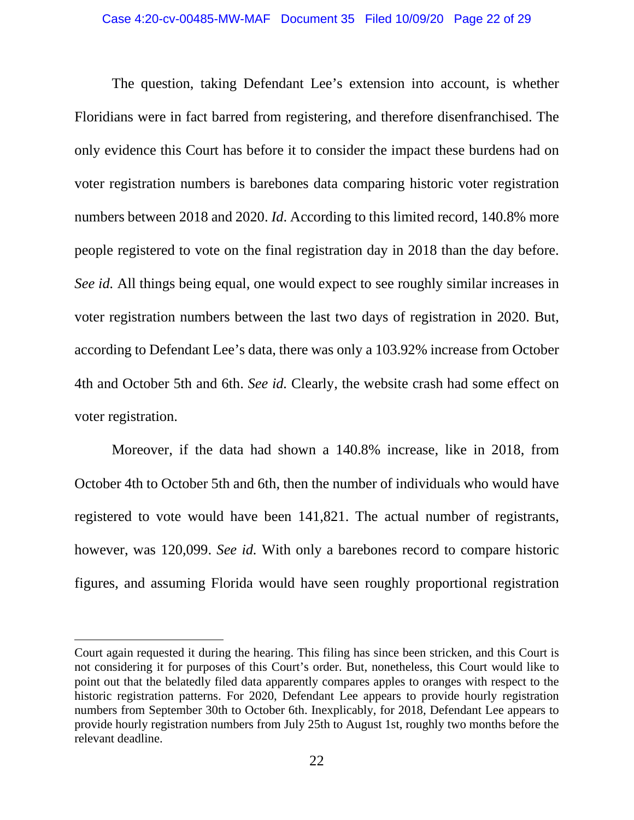The question, taking Defendant Lee's extension into account, is whether Floridians were in fact barred from registering, and therefore disenfranchised. The only evidence this Court has before it to consider the impact these burdens had on voter registration numbers is barebones data comparing historic voter registration numbers between 2018 and 2020. *Id*. According to this limited record, 140.8% more people registered to vote on the final registration day in 2018 than the day before. *See id.* All things being equal, one would expect to see roughly similar increases in voter registration numbers between the last two days of registration in 2020. But, according to Defendant Lee's data, there was only a 103.92% increase from October 4th and October 5th and 6th. *See id.* Clearly, the website crash had some effect on voter registration.

Moreover, if the data had shown a 140.8% increase, like in 2018, from October 4th to October 5th and 6th, then the number of individuals who would have registered to vote would have been 141,821. The actual number of registrants, however, was 120,099. *See id.* With only a barebones record to compare historic figures, and assuming Florida would have seen roughly proportional registration

Court again requested it during the hearing. This filing has since been stricken, and this Court is not considering it for purposes of this Court's order. But, nonetheless, this Court would like to point out that the belatedly filed data apparently compares apples to oranges with respect to the historic registration patterns. For 2020, Defendant Lee appears to provide hourly registration numbers from September 30th to October 6th. Inexplicably, for 2018, Defendant Lee appears to provide hourly registration numbers from July 25th to August 1st, roughly two months before the relevant deadline.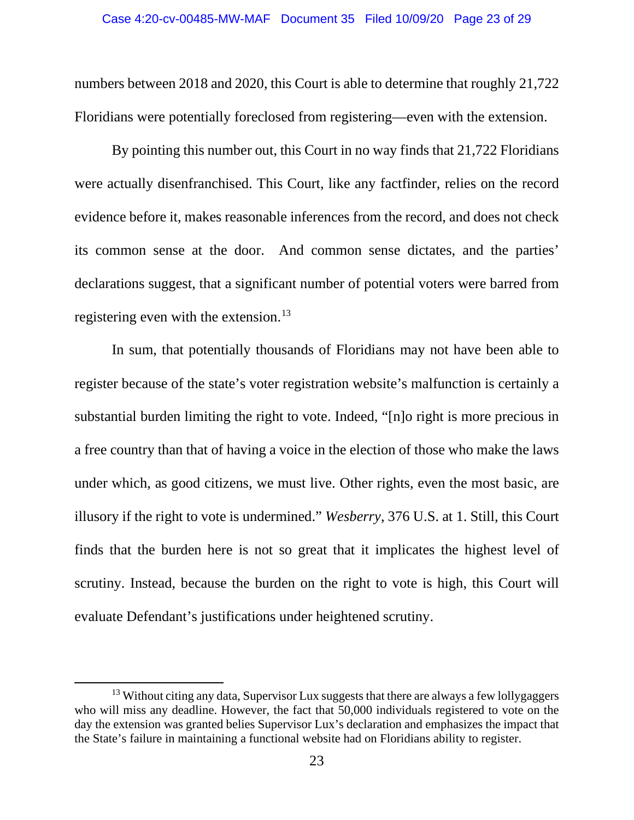numbers between 2018 and 2020, this Court is able to determine that roughly 21,722 Floridians were potentially foreclosed from registering—even with the extension.

By pointing this number out, this Court in no way finds that 21,722 Floridians were actually disenfranchised. This Court, like any factfinder, relies on the record evidence before it, makes reasonable inferences from the record, and does not check its common sense at the door. And common sense dictates, and the parties' declarations suggest, that a significant number of potential voters were barred from registering even with the extension.<sup>[13](#page-22-0)</sup>

In sum, that potentially thousands of Floridians may not have been able to register because of the state's voter registration website's malfunction is certainly a substantial burden limiting the right to vote. Indeed, "[n]o right is more precious in a free country than that of having a voice in the election of those who make the laws under which, as good citizens, we must live. Other rights, even the most basic, are illusory if the right to vote is undermined." *Wesberry*, 376 U.S. at 1. Still, this Court finds that the burden here is not so great that it implicates the highest level of scrutiny. Instead, because the burden on the right to vote is high, this Court will evaluate Defendant's justifications under heightened scrutiny.

<span id="page-22-0"></span> $13$  Without citing any data, Supervisor Lux suggests that there are always a few lollygaggers who will miss any deadline. However, the fact that 50,000 individuals registered to vote on the day the extension was granted belies Supervisor Lux's declaration and emphasizes the impact that the State's failure in maintaining a functional website had on Floridians ability to register.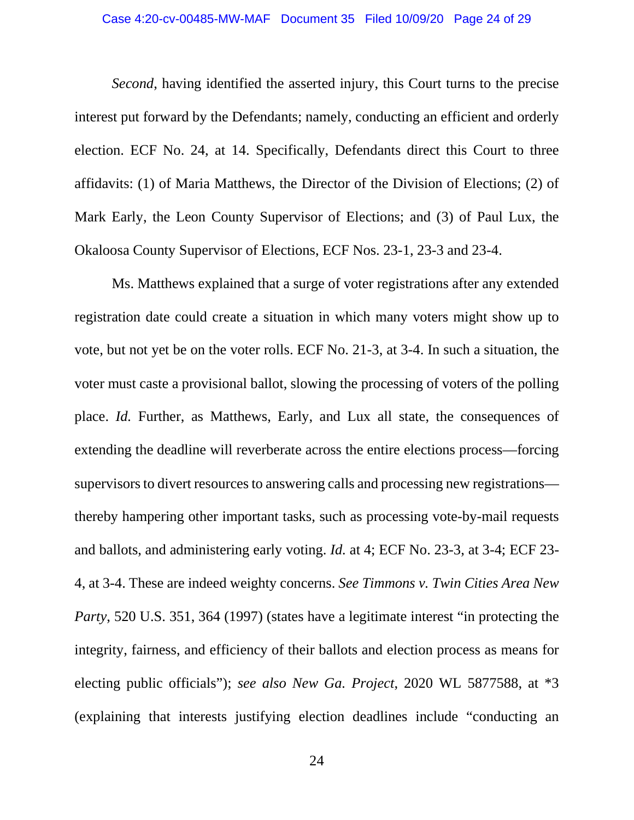### Case 4:20-cv-00485-MW-MAF Document 35 Filed 10/09/20 Page 24 of 29

*Second*, having identified the asserted injury, this Court turns to the precise interest put forward by the Defendants; namely, conducting an efficient and orderly election. ECF No. 24, at 14. Specifically, Defendants direct this Court to three affidavits: (1) of Maria Matthews, the Director of the Division of Elections; (2) of Mark Early, the Leon County Supervisor of Elections; and (3) of Paul Lux, the Okaloosa County Supervisor of Elections, ECF Nos. 23-1, 23-3 and 23-4.

Ms. Matthews explained that a surge of voter registrations after any extended registration date could create a situation in which many voters might show up to vote, but not yet be on the voter rolls. ECF No. 21-3, at 3-4. In such a situation, the voter must caste a provisional ballot, slowing the processing of voters of the polling place. *Id.* Further, as Matthews, Early, and Lux all state, the consequences of extending the deadline will reverberate across the entire elections process—forcing supervisors to divert resources to answering calls and processing new registrations thereby hampering other important tasks, such as processing vote-by-mail requests and ballots, and administering early voting. *Id.* at 4; ECF No. 23-3, at 3-4; ECF 23- 4, at 3-4. These are indeed weighty concerns. *See Timmons v. Twin Cities Area New Party*, 520 U.S. 351, 364 (1997) (states have a legitimate interest "in protecting the integrity, fairness, and efficiency of their ballots and election process as means for electing public officials"); *see also New Ga. Project*, 2020 WL 5877588, at \*3 (explaining that interests justifying election deadlines include "conducting an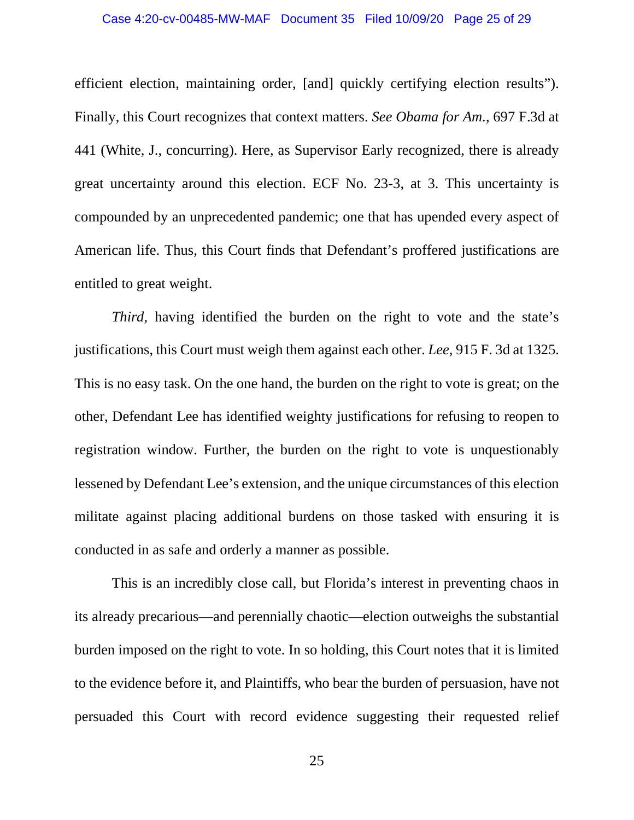efficient election, maintaining order, [and] quickly certifying election results"). Finally, this Court recognizes that context matters. *See Obama for Am.*, 697 F.3d at 441 (White, J., concurring). Here, as Supervisor Early recognized, there is already great uncertainty around this election. ECF No. 23-3, at 3. This uncertainty is compounded by an unprecedented pandemic; one that has upended every aspect of American life. Thus, this Court finds that Defendant's proffered justifications are entitled to great weight.

*Third*, having identified the burden on the right to vote and the state's justifications, this Court must weigh them against each other. *Lee*, 915 F. 3d at 1325. This is no easy task. On the one hand, the burden on the right to vote is great; on the other, Defendant Lee has identified weighty justifications for refusing to reopen to registration window. Further, the burden on the right to vote is unquestionably lessened by Defendant Lee's extension, and the unique circumstances of this election militate against placing additional burdens on those tasked with ensuring it is conducted in as safe and orderly a manner as possible.

This is an incredibly close call, but Florida's interest in preventing chaos in its already precarious—and perennially chaotic—election outweighs the substantial burden imposed on the right to vote. In so holding, this Court notes that it is limited to the evidence before it, and Plaintiffs, who bear the burden of persuasion, have not persuaded this Court with record evidence suggesting their requested relief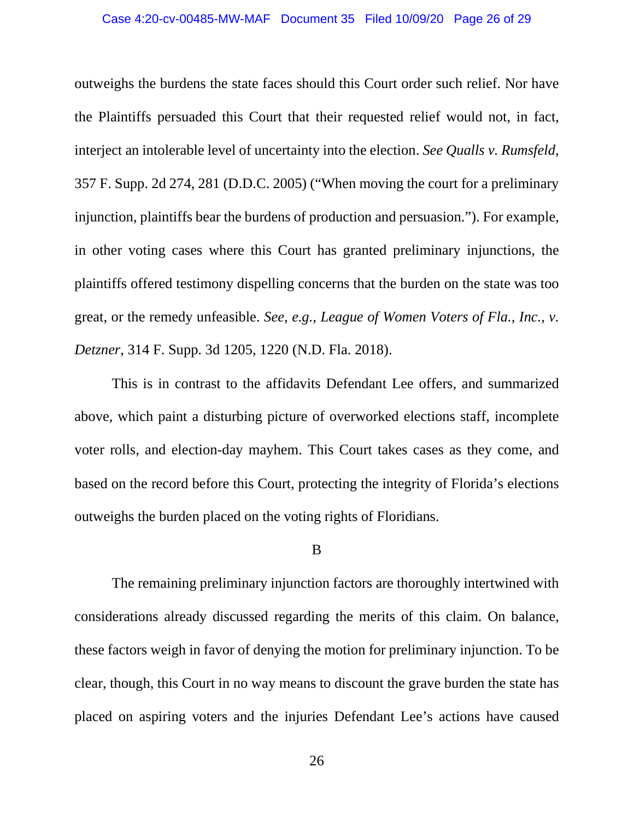### Case 4:20-cv-00485-MW-MAF Document 35 Filed 10/09/20 Page 26 of 29

outweighs the burdens the state faces should this Court order such relief. Nor have the Plaintiffs persuaded this Court that their requested relief would not, in fact, interject an intolerable level of uncertainty into the election. *See Qualls v. Rumsfeld*, 357 F. Supp. 2d 274, 281 (D.D.C. 2005) ("When moving the court for a preliminary injunction, plaintiffs bear the burdens of production and persuasion."). For example, in other voting cases where this Court has granted preliminary injunctions, the plaintiffs offered testimony dispelling concerns that the burden on the state was too great, or the remedy unfeasible. *See, e.g., League of Women Voters of Fla., Inc., v. Detzner*, 314 F. Supp. 3d 1205, 1220 (N.D. Fla. 2018).

This is in contrast to the affidavits Defendant Lee offers, and summarized above, which paint a disturbing picture of overworked elections staff, incomplete voter rolls, and election-day mayhem. This Court takes cases as they come, and based on the record before this Court, protecting the integrity of Florida's elections outweighs the burden placed on the voting rights of Floridians.

B

The remaining preliminary injunction factors are thoroughly intertwined with considerations already discussed regarding the merits of this claim. On balance, these factors weigh in favor of denying the motion for preliminary injunction. To be clear, though, this Court in no way means to discount the grave burden the state has placed on aspiring voters and the injuries Defendant Lee's actions have caused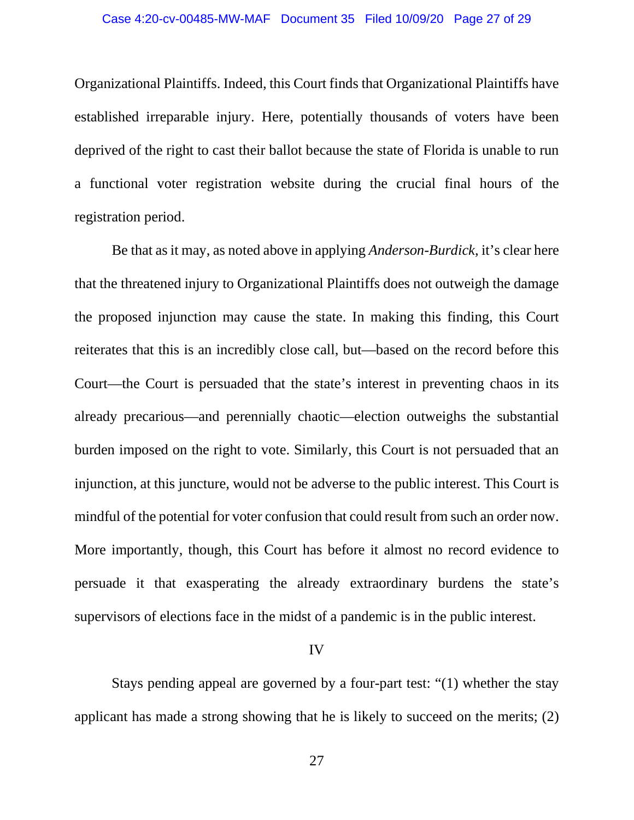Organizational Plaintiffs. Indeed, this Court finds that Organizational Plaintiffs have established irreparable injury. Here, potentially thousands of voters have been deprived of the right to cast their ballot because the state of Florida is unable to run a functional voter registration website during the crucial final hours of the registration period.

Be that as it may, as noted above in applying *Anderson-Burdick*, it's clear here that the threatened injury to Organizational Plaintiffs does not outweigh the damage the proposed injunction may cause the state. In making this finding, this Court reiterates that this is an incredibly close call, but—based on the record before this Court—the Court is persuaded that the state's interest in preventing chaos in its already precarious—and perennially chaotic—election outweighs the substantial burden imposed on the right to vote. Similarly, this Court is not persuaded that an injunction, at this juncture, would not be adverse to the public interest. This Court is mindful of the potential for voter confusion that could result from such an order now. More importantly, though, this Court has before it almost no record evidence to persuade it that exasperating the already extraordinary burdens the state's supervisors of elections face in the midst of a pandemic is in the public interest.

### IV

Stays pending appeal are governed by a four-part test: "(1) whether the stay applicant has made a strong showing that he is likely to succeed on the merits; (2)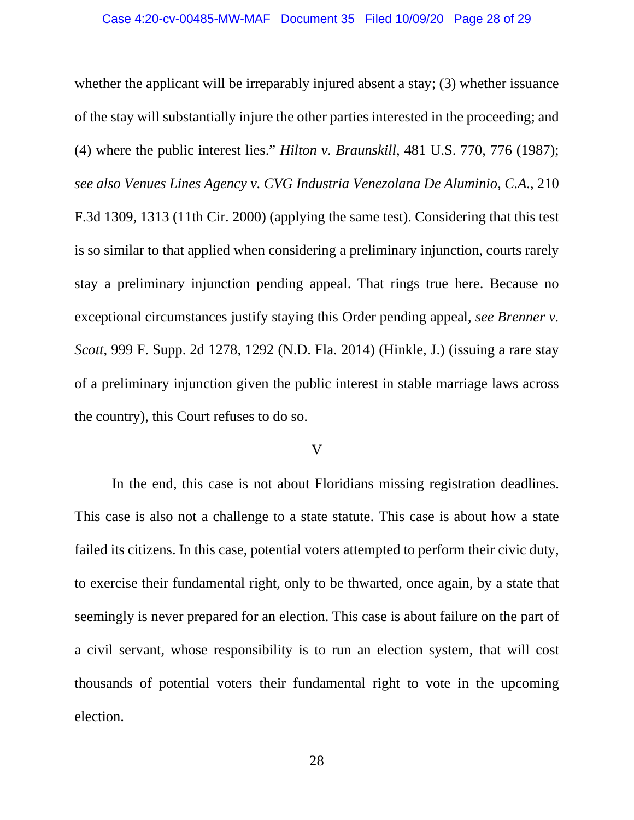whether the applicant will be irreparably injured absent a stay; (3) whether issuance of the stay will substantially injure the other parties interested in the proceeding; and (4) where the public interest lies." *Hilton v. Braunskill*, 481 U.S. 770, 776 (1987); *see also Venues Lines Agency v. CVG Industria Venezolana De Aluminio, C.A.*, 210 F.3d 1309, 1313 (11th Cir. 2000) (applying the same test). Considering that this test is so similar to that applied when considering a preliminary injunction, courts rarely stay a preliminary injunction pending appeal. That rings true here. Because no exceptional circumstances justify staying this Order pending appeal, *see Brenner v. Scott*, 999 F. Supp. 2d 1278, 1292 (N.D. Fla. 2014) (Hinkle, J.) (issuing a rare stay of a preliminary injunction given the public interest in stable marriage laws across the country), this Court refuses to do so.

## V

In the end, this case is not about Floridians missing registration deadlines. This case is also not a challenge to a state statute. This case is about how a state failed its citizens. In this case, potential voters attempted to perform their civic duty, to exercise their fundamental right, only to be thwarted, once again, by a state that seemingly is never prepared for an election. This case is about failure on the part of a civil servant, whose responsibility is to run an election system, that will cost thousands of potential voters their fundamental right to vote in the upcoming election.